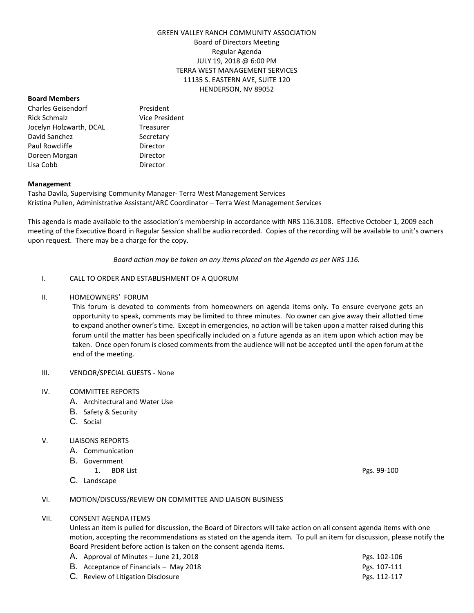# GREEN VALLEY RANCH COMMUNITY ASSOCIATION Board of Directors Meeting Regular Agenda JULY 19, 2018 @ 6:00 PM TERRA WEST MANAGEMENT SERVICES 11135 S. EASTERN AVE, SUITE 120 HENDERSON, NV 89052

#### **Board Members**

Charles Geisendorf President Rick Schmalz Vice President Jocelyn Holzwarth, DCAL Treasurer David Sanchez Secretary Paul Rowcliffe **Director** Doreen Morgan **Director** Lisa Cobb Director

# **Management**

Tasha Davila, Supervising Community Manager- Terra West Management Services Kristina Pullen, Administrative Assistant/ARC Coordinator – Terra West Management Services

This agenda is made available to the association's membership in accordance with NRS 116.3108. Effective October 1, 2009 each meeting of the Executive Board in Regular Session shall be audio recorded. Copies of the recording will be available to unit's owners upon request. There may be a charge for the copy.

*Board action may be taken on any items placed on the Agenda as per NRS 116.*

# I. CALL TO ORDER AND ESTABLISHMENT OF A QUORUM

# II. HOMEOWNERS' FORUM

This forum is devoted to comments from homeowners on agenda items only. To ensure everyone gets an opportunity to speak, comments may be limited to three minutes. No owner can give away their allotted time to expand another owner's time. Except in emergencies, no action will be taken upon a matter raised during this forum until the matter has been specifically included on a future agenda as an item upon which action may be taken. Once open forum is closed comments from the audience will not be accepted until the open forum at the end of the meeting.

III. VENDOR/SPECIAL GUESTS - None

## IV. COMMITTEE REPORTS

- A. Architectural and Water Use
- B. Safety & Security
- C. Social

# V. LIAISONS REPORTS

- A. Communication
- B. Government
- 1. BDR List Pgs. 99-100
- C. Landscape

### VI. MOTION/DISCUSS/REVIEW ON COMMITTEE AND LIAISON BUSINESS

### VII. CONSENT AGENDA ITEMS

Unless an item is pulled for discussion, the Board of Directors will take action on all consent agenda items with one motion, accepting the recommendations as stated on the agenda item. To pull an item for discussion, please notify the Board President before action is taken on the consent agenda items.

| A. Approval of Minutes – June 21, 2018 | Pgs. 102-106 |
|----------------------------------------|--------------|
| B. Acceptance of Financials - May 2018 | Pgs. 107-111 |
| C. Review of Litigation Disclosure     | Pgs. 112-117 |